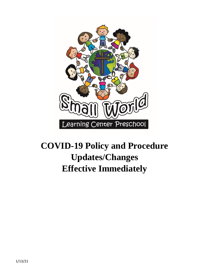

# **COVID-19 Policy and Procedure Updates/Changes Effective Immediately**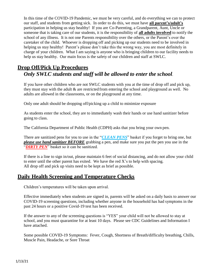In this time of the COVID-19 Pandemic, we must be very careful, and do everything we can to protect our staff, and students from getting sick. In order to do this, we must have **all parent's/adult's** participation in helping us stay healthy! If you are Co-Parenting, a Grandparent, Aunt, Uncle or someone that is taking care of our students, it is the responsibility of **all adults involved** to notify the school of any illness. It is not one Parents responsibility over the others, or the Parent's over the caretaker of the child. Whoever is dropping off and picking up our students need to be involved in helping us stay healthy! Parent's please don't take this the wrong way, you are most definitely in charge of your children. What I am saying is anyone who is bringing children to our facility needs to help us stay healthy. Our main focus is the safety of our children and staff at SWLC.

## **Drop Off/Pick Up Procedures** *Only SWLC students and staff will be allowed to enter the school*.

If you have other children who are not SWLC students with you at the time of drop off and pick up, they must stay with the adult & are restricted from entering the school and playground as well. No adults are allowed in the classrooms, or on the playground at any time.

Only one adult should be dropping off/picking up a child to minimize exposure

As students enter the school, they are to immediately wash their hands or use hand sanitizer before going to class.

The California Department of Public Health (CDPH) asks that you bring your own pen.

There are sanitized pens for you to use in the "*CLEAN PENS*" basket if you forget to bring one, but *please use hand sanitizer BEFORE* grabbing a pen, and make sure you put the pen you use in the "**DIRTY PEN**" basket so it can be sanitized.

If there is a line to sign in/out, please maintain 6 feet of social distancing, and do not allow your child to enter until the other parent has exited. We have the red X's to help with spacing. All drop off and pick up visits need to be kept as brief as possible.

## **Daily Health Screening and Temperature Checks**

Children's temperatures will be taken upon arrival.

Effective immediately when students are signed in, parents will be asked on a daily basis to answer our COVID-19 screening questions, including whether anyone in the household has had symptoms in the past 24 hours or a positive Covid-19 test has been received.

If the answer to any of the screening questions is "YES" your child will not be allowed to stay at school, and you must quarantine for at least 10 days. Please see CDC Guidelines and Information I have attached.

Some possible COVID-19 Symptoms: Fever, Cough, Shortness of Breath/difficulty breathing, Chills, Muscle Pain, Headache, or Sore Throat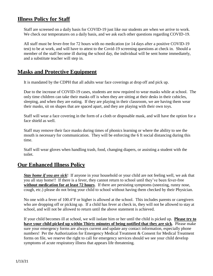### **Illness Policy for Staff**

Staff are screened on a daily basis for COVID-19 just like our students are when we arrive to work. We check our temperatures on a daily basis, and we ask each other questions regarding COVID-19.

All staff must be fever-free for 72 hours with no medication (or 14 days after a positive COVID-19 test) to be at work, and will have to attest to the Covid-19 screening questions at check in. Should a member of the staff become ill during the school day, the individual will be sent home immediately, and a substitute teacher will step in.

#### **Masks and Protective Equipment**

It is mandated by the CDPH that all adults wear face coverings at drop off and pick up.

Due to the increase of COVID-19 cases, students are now required to wear masks while at school. The only time children can take their masks off is when they are sitting at their desks in their cubicles, sleeping, and when they are eating. If they are playing in their classroom, we are having them wear their masks, sit on shapes that are spaced apart, and they are playing with their own toys.

Staff will wear a face covering in the form of a cloth or disposable mask, and will have the option for a face shield as well.

Staff may remove their face masks during times of phonics learning or where the ability to see the mouth is necessary for communication. They will be enforcing the 6 ft social distancing during this time.

Staff will wear gloves when handling trash, food, changing diapers, or assisting a student with the toilet.

#### **Our Enhanced Illness Policy**

*Stay home if you are sick*! If anyone in your household or your child are not feeling well, we ask that you all stay home!! If there is a fever, they cannot return to school until they've been fever-free **without medication for at least 72 hours**. If there are persisting symptoms (sneezing, runny nose, cough, etc.) please do not bring your child to school without having them checked by their Physician.

No one with a fever of 100.4°F or higher is allowed at the school. This includes parents or caregivers who are dropping off or picking up. If a child has fever at check in, they will not be allowed to stay at school, and will not be allowed to return until the above statement is achieved.

If your child becomes ill at school, we will isolate him or her until the child is picked up. **Please try to have your child picked up within Thirty minutes of being notified that they are sick**. Please make sure your emergency forms are always current and update any contact information, especially phone numbers! Per the Authorization for Emergency Medical Treatment & Consent for Medical Treatment forms on file, we reserve the right to call for emergency services should we see your child develop symptoms of acute respiratory illness that appears life threatening.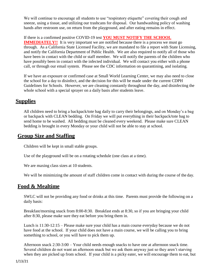We will continue to encourage all students to use "respiratory etiquette" covering their cough and sneeze, using a tissue, and utilizing our trashcans for disposal. Our handwashing policy of washing hands after restroom use, on return from the playground, and after eating remains in effect.

If there is a confirmed positive COVID-19 test **YOU MUST NOTIFY THE SCHOOL** 

**IMMEDIATELY!!** It is very important we are notified because there is a process we must go through. As a California State Licensed Facility, we are mandated to file a report with State Licensing, and notify the California Department of Public Health. We are also required to notify all of those who have been in contact with the child or staff member. We will notify the parents of the children who have possibly been in contact with the infected individual. We will contact you either with a phone call, or through our email system. Please see the CDC information on quarantining, and isolating.

If we have an exposure or confirmed case at Small World Learning Center, we may also need to close the school for a day to disinfect, and the decision for this will be made under the current CDPH Guidelines for Schools. However, we are cleaning constantly throughout the day, and disinfecting the whole school with a special sprayer on a daily basis after students leave.

### **Supplies**

All children need to bring a backpack/tote bag daily to carry their belongings, and on Monday's a bag or backpack with CLEAN bedding. On Friday we will put everything in their backpack/tote bag to send home to be washed. All bedding must be cleaned every weekend. Please make sure CLEAN bedding is brought in every Monday or your child will not be able to stay at school.

## **Group Size and Staffing**

Children will be kept in small stable groups.

Use of the playground will be on a rotating schedule (one class at a time).

We are maxing class sizes at 10 students.

We will be minimizing the amount of staff children come in contact with during the course of the day.

## **Food & Mealtime**

SWLC will not be providing any food or drinks at this time. Parents must provide the following on a daily basis:

Breakfast/morning snack from 8:00-8:30. Breakfast ends at 8:30, so if you are bringing your child after 8:30, please make sure they eat before you bring them in.

Lunch is 11:30-12:15 – Please make sure your child has a main course everyday because we do not have food at the school. If your child does not have a main course, we will be calling you to bring something to school, or you will have to pick them up.

Afternoon snack 2:30-3:00 – Your child needs enough snacks to have one at afternoon snack time. Several children do not want an afternoon snack but we ask them anyway just so they aren't starving when they are picked up from school. If your child is a picky eater, we will encourage them to eat, but